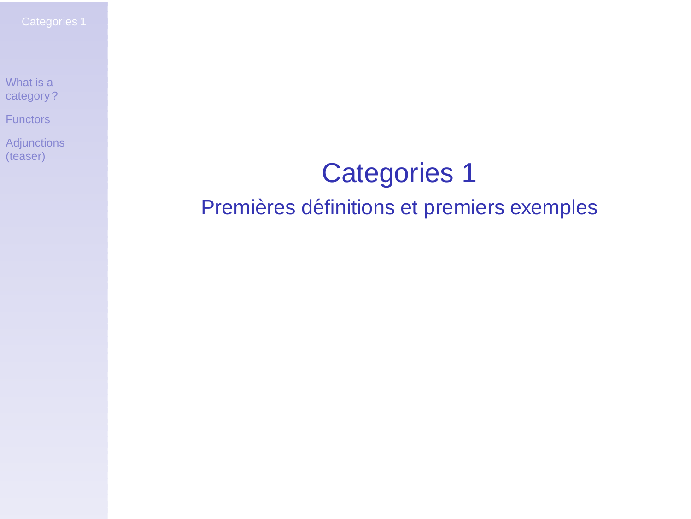[Functors](#page-6-0)

<span id="page-0-0"></span>**[Adjunctions](#page-10-0)** (teaser)

## Categories 1 Premières définitions et premiers exemples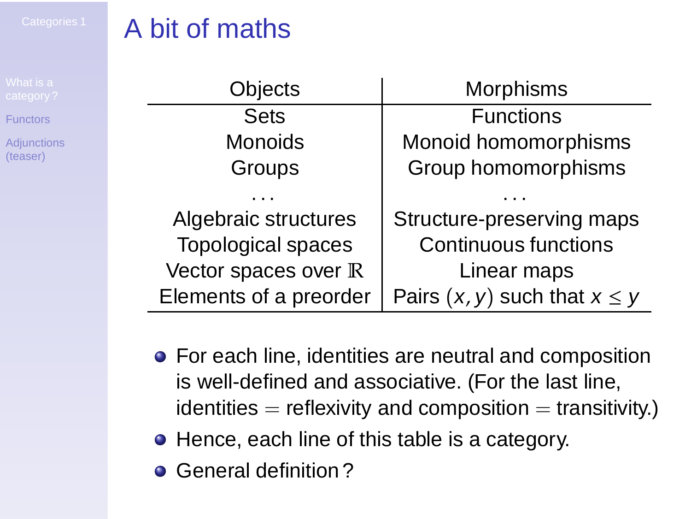**[Adjunctions](#page-10-0)** (teaser)

# A bit of maths

| Objects                | Morphisms                          |
|------------------------|------------------------------------|
| Sets                   | <b>Functions</b>                   |
| Monoids                | Monoid homomorphisms               |
| Groups                 | Group homomorphisms                |
|                        |                                    |
| Algebraic structures   | Structure-preserving maps          |
| Topological spaces     | <b>Continuous functions</b>        |
| Vector spaces over R   | Linear maps                        |
| Elements of a preorder | Pairs $(x, y)$ such that $x \le y$ |

- For each line, identities are neutral and composition is well-defined and associative. (For the last line,  $identities = reflexivity$  and composition  $=$  transitivity.)
- Hence, each line of this table is a category.
- <span id="page-1-0"></span>**• General definition?**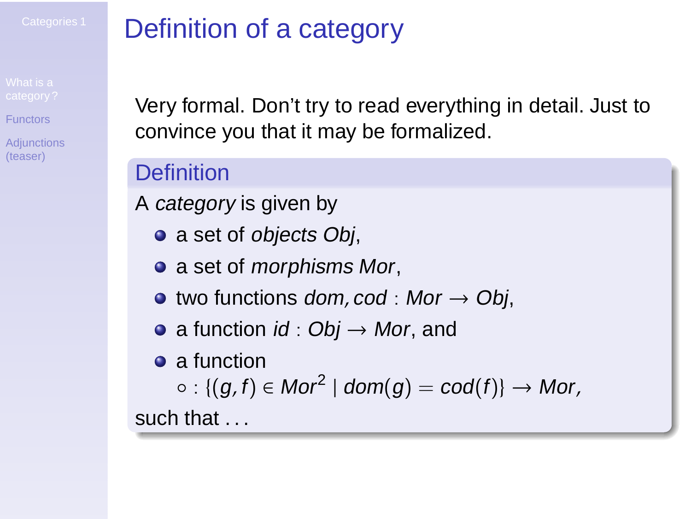**[Adjunctions](#page-10-0)** (teaser)

# Definition of a category

Very formal. Don't try to read everything in detail. Just to convince you that it may be formalized.

#### **Definition**

A category is given by

- a set of *objects Obj*,
- a set of morphisms Mor,
- $\bullet$  two functions dom, cod : Mor  $\rightarrow$  Obj,
- a function  $id:Obj \rightarrow Mor$ , and

• a function

 $\circ : \{(g,f) \in \mathit{Mor}^{2} \mid \mathit{dom}(g) = \mathit{cod}(f)\} \rightarrow \mathit{Mor},$ 

such that ...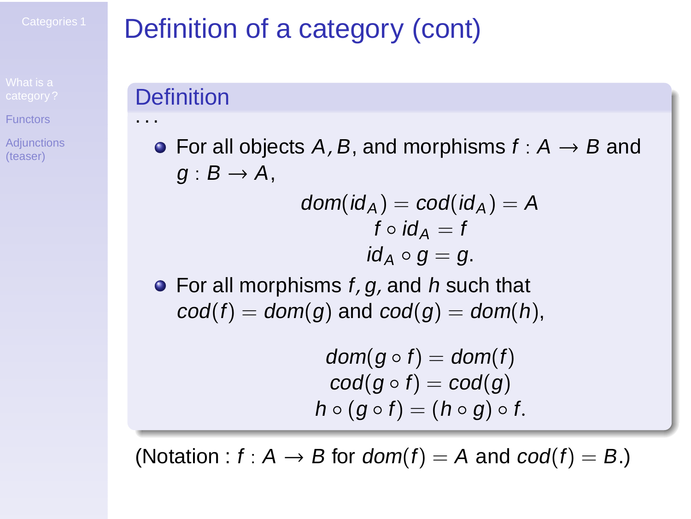**[Adjunctions](#page-10-0)** (teaser)

# Definition of a category (cont)

#### **Definition**

. . .

• For all objects A, B, and morphisms  $f : A \rightarrow B$  and  $g: B \to A$ ,

$$
dom(id_A) = cod(id_A) = A
$$
  

$$
f \circ id_A = f
$$
  

$$
id_A \circ g = g.
$$

 $\bullet$  For all morphisms  $f, g$ , and h such that  $cod(f) = dom(g)$  and  $cod(g) = dom(h)$ ,

$$
\begin{array}{c} \textit{dom}(g \circ f) = \textit{dom}(f) \\ \textit{cod}(g \circ f) = \textit{cod}(g) \\ \textit{h} \circ (g \circ f) = (\textit{h} \circ g) \circ f. \end{array}
$$

(Notation :  $f : A \rightarrow B$  for  $dom(f) = A$  and  $cod(f) = B$ .)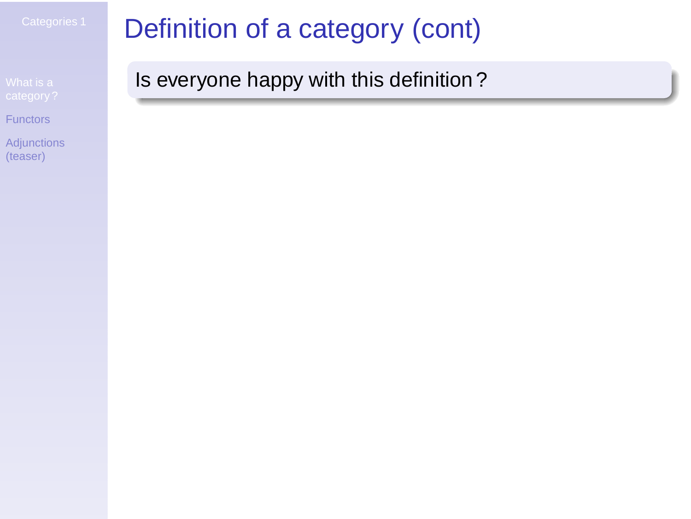**[Adjunctions](#page-10-0)** (teaser)

# Definition of a category (cont)

Is everyone happy with this definition ?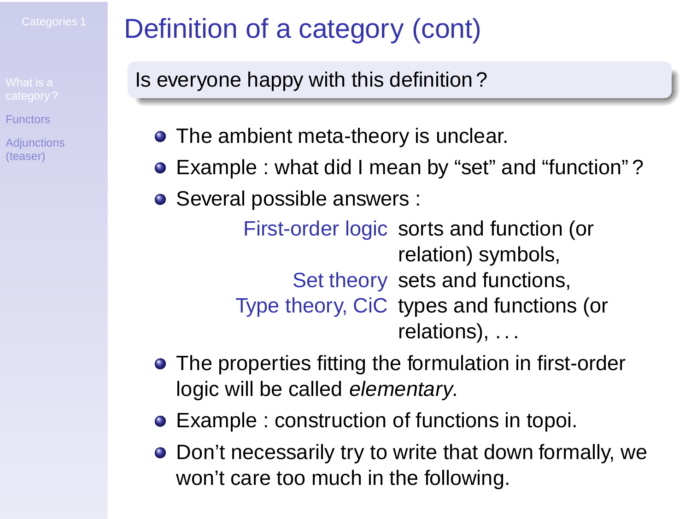**[Adjunctions](#page-10-0)** (teaser)

# Definition of a category (cont)

Is everyone happy with this definition ?

- The ambient meta-theory is unclear.
- Example : what did I mean by "set" and "function"?
- Several possible answers :

First-order logic sorts and function (or relation) symbols, Set theory sets and functions, Type theory, CiC types and functions (or relations), ...

- The properties fitting the formulation in first-order logic will be called elementary.
- Example : construction of functions in topoi.
- Don't necessarily try to write that down formally, we won't care too much in the following.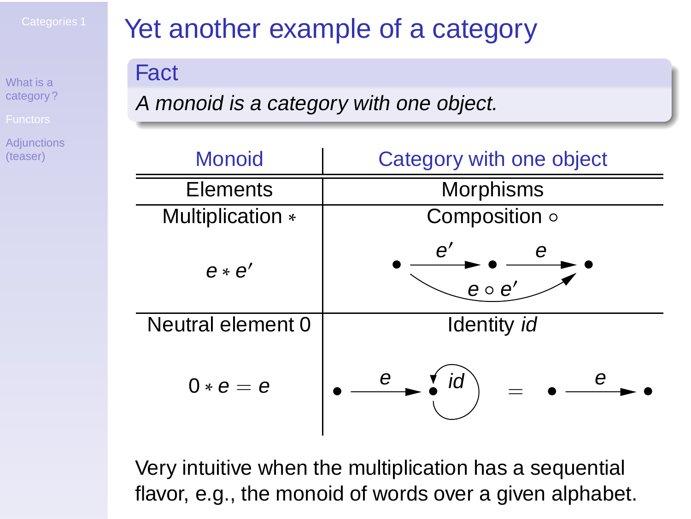**[Adjunctions](#page-10-0)** (teaser)

## Yet another example of a category

#### **Fact**

<sup>A</sup> monoid is <sup>a</sup> category with one object.

| Monoid            | Category with one object |
|-------------------|--------------------------|
| Elements          | Morphisms                |
| Multiplication *  | Composition o            |
| $e \cdot e'$      | e′<br>е<br>$e \circ e'$  |
| Neutral element 0 | Identity id              |
| $0 * e = e$       | е<br>е<br>ıd             |

<span id="page-6-0"></span>Very intuitive when the multiplication has a sequential flavor, e.g., the monoid of words over a given alphabet.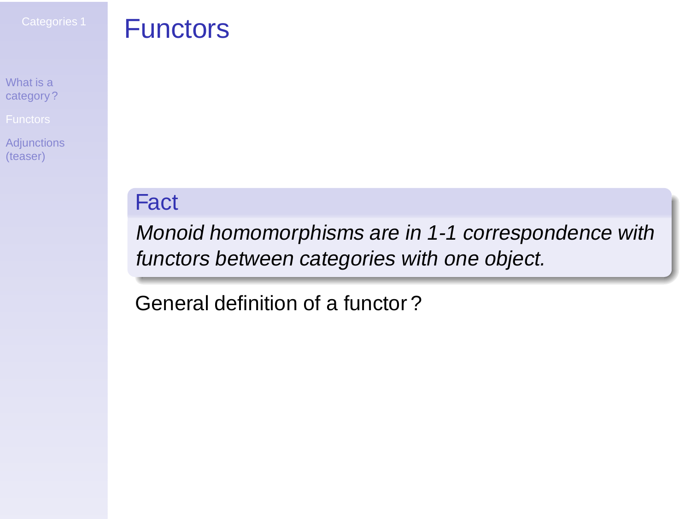[Adjunctions](#page-10-0) (teaser)

#### **Functors**

#### Fact

Monoid homomorphisms are in 1-1 correspondence with functors between categories with one object.

General definition of a functor ?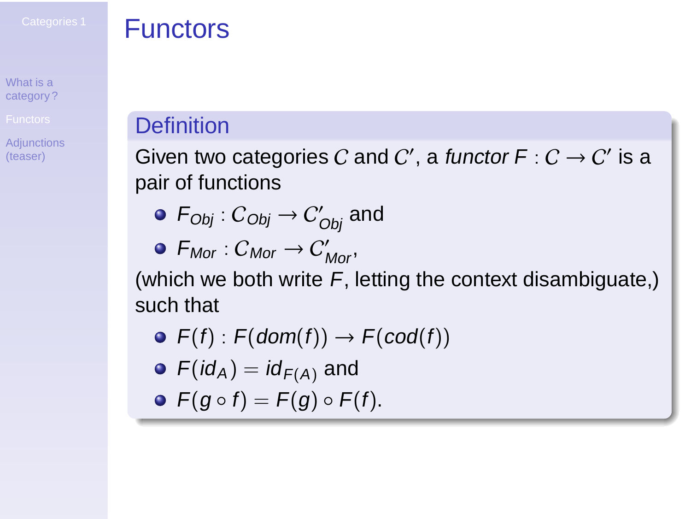**[Adjunctions](#page-10-0)** (teaser)

#### **Functors**

#### **Definition**

Given two categories  $C$  and  $C'$ , a functor  $\mathsf{F}:C\to C'$  is a pair of functions

- $\mathcal{F}_{Obj}: \mathcal{C}_{Obj} \rightarrow \mathcal{C}_{Obj}'$  and
- $F_{Mor}: C_{Mor} \rightarrow C'_{Mor},$

(which we both write  $F$ , letting the context disambiguate,) such that

- $\bullet$  F(f) : F(dom(f))  $\rightarrow$  F(cod(f))
- $F(id_A) = id_{F(A)}$  and
- $\bullet$   $F(q \circ f) = F(q) \circ F(f)$ .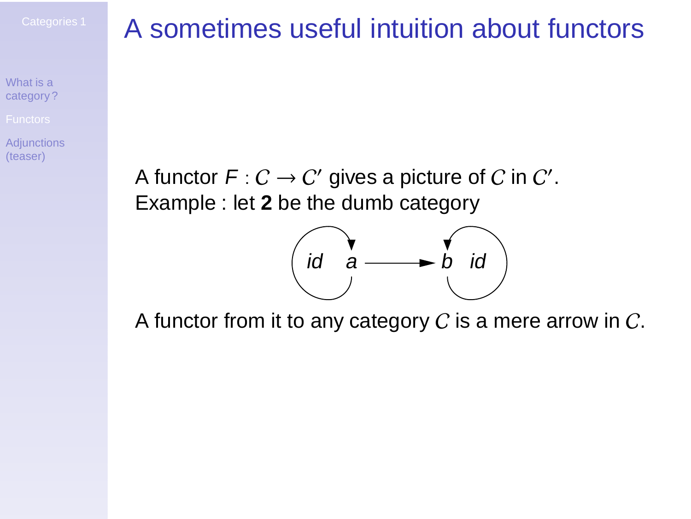**[Adjunctions](#page-10-0)** (teaser)

## A sometimes useful intuition about functors

A functor  $F: C \to C'$  gives a picture of  $C$  in  $C'.$ Example : let **2** be the dumb category



A functor from it to any category  $C$  is a mere arrow in  $C$ .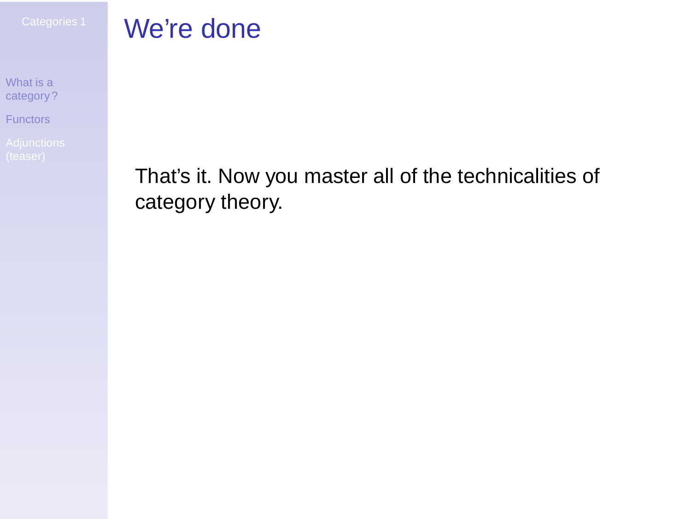[Functors](#page-6-0)

<span id="page-10-0"></span>

## We're done

That's it. Now you master all of the technicalities of category theory.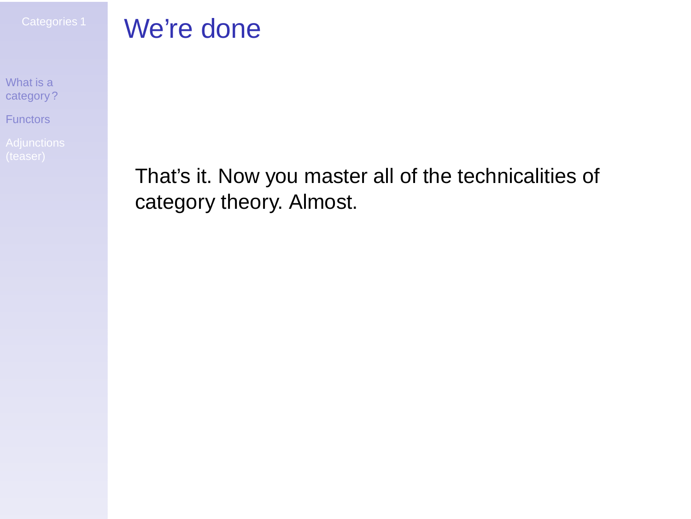[Functors](#page-6-0)

## We're done

That's it. Now you master all of the technicalities of category theory. Almost.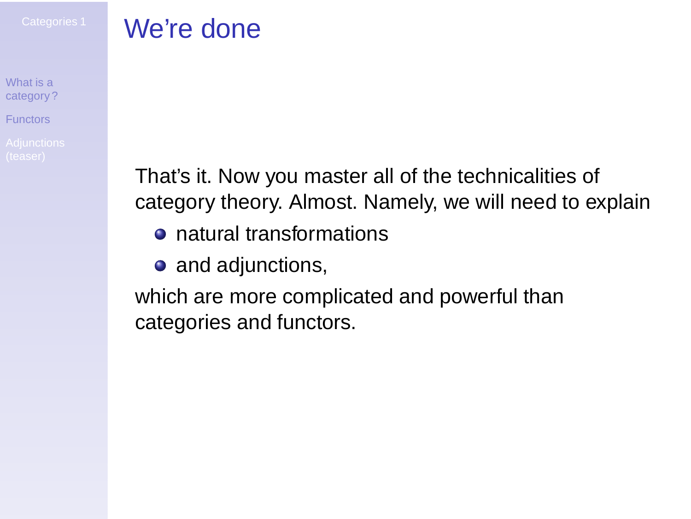[Functors](#page-6-0)

## We're done

That's it. Now you master all of the technicalities of category theory. Almost. Namely, we will need to explain

- **o** natural transformations
- and adjunctions,

which are more complicated and powerful than categories and functors.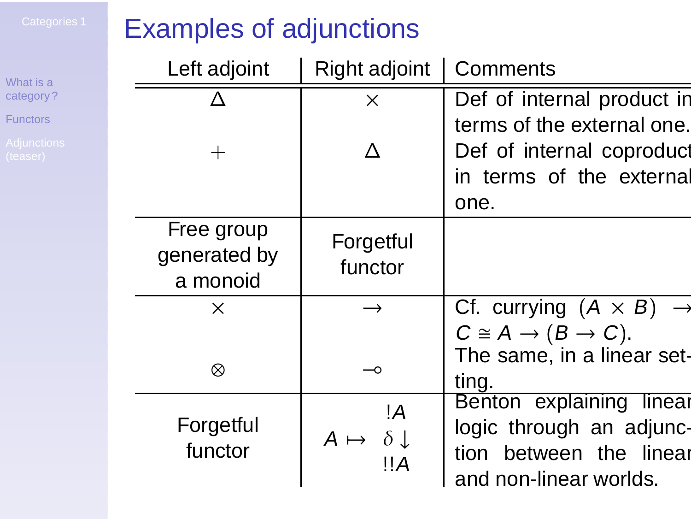[Functors](#page-6-0)

## Examples of adjunctions

| Left adjoint         | Right adjoint                 | Comments                                   |
|----------------------|-------------------------------|--------------------------------------------|
|                      | X                             | Def of internal product in                 |
|                      |                               | terms of the external one.                 |
| $^{+}$               |                               | Def of internal coproduct                  |
|                      |                               | in terms of the external                   |
|                      |                               | one.                                       |
| Free group           | Forgetful                     |                                            |
| generated by         | functor                       |                                            |
| a monoid             |                               |                                            |
| X                    | $\rightarrow$                 | Cf. currying $(A \times B)$                |
|                      |                               | $C \cong A \rightarrow (B \rightarrow C).$ |
| ⊗                    | -0                            | The same, in a linear set-                 |
|                      |                               | ting.                                      |
|                      | !A                            | Benton explaining linear                   |
| Forgetful<br>functor | $A \mapsto \delta \downarrow$ | logic through an adjunc-                   |
|                      | ‼A                            | tion between the linear                    |
|                      |                               | and non-linear worlds.                     |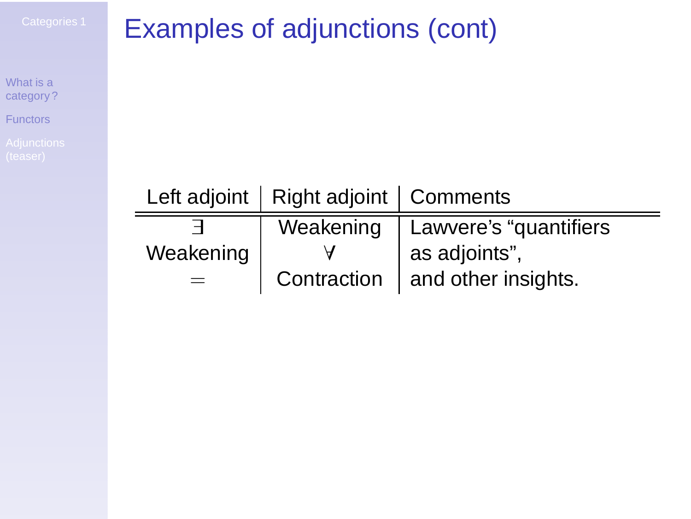[Functors](#page-6-0)

# Examples of adjunctions (cont)

|           | Left adjoint   Right adjoint   Comments |                                     |
|-----------|-----------------------------------------|-------------------------------------|
|           |                                         | Weakening   Lawvere's "quantifiers" |
| Weakening |                                         | as adjoints",                       |
|           |                                         | Contraction   and other insights.   |